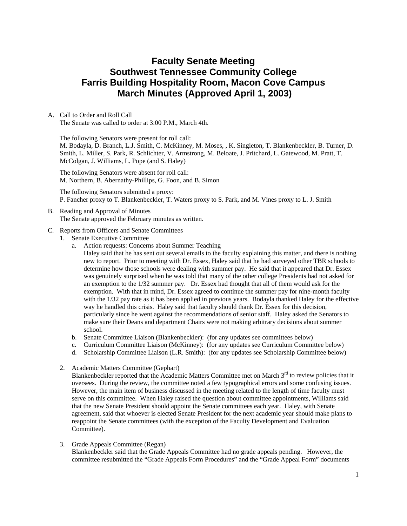# **Faculty Senate Meeting Southwest Tennessee Community College Farris Building Hospitality Room, Macon Cove Campus March Minutes (Approved April 1, 2003)**

### A. Call to Order and Roll Call

The Senate was called to order at 3:00 P.M., March 4th.

The following Senators were present for roll call: M. Bodayla, D. Branch, L.J. Smith, C. McKinney, M. Moses, , K. Singleton, T. Blankenbeckler, B. Turner, D. Smith, L. Miller, S. Park, R. Schlichter, V. Armstrong, M. Beloate, J. Pritchard, L. Gatewood, M. Pratt, T. McColgan, J. Williams, L. Pope (and S. Haley)

The following Senators were absent for roll call: M. Northern, B. Abernathy-Phillips, G. Foon, and B. Simon

The following Senators submitted a proxy: P. Fancher proxy to T. Blankenbeckler, T. Waters proxy to S. Park, and M. Vines proxy to L. J. Smith

B. Reading and Approval of Minutes The Senate approved the February minutes as written.

### C. Reports from Officers and Senate Committees

- 1. Senate Executive Committee
	- a. Action requests: Concerns about Summer Teaching

Haley said that he has sent out several emails to the faculty explaining this matter, and there is nothing new to report. Prior to meeting with Dr. Essex, Haley said that he had surveyed other TBR schools to determine how those schools were dealing with summer pay. He said that it appeared that Dr. Essex was genuinely surprised when he was told that many of the other college Presidents had not asked for an exemption to the 1/32 summer pay. Dr. Essex had thought that all of them would ask for the exemption. With that in mind, Dr. Essex agreed to continue the summer pay for nine-month faculty with the 1/32 pay rate as it has been applied in previous years. Bodayla thanked Haley for the effective way he handled this crisis. Haley said that faculty should thank Dr. Essex for this decision, particularly since he went against the recommendations of senior staff. Haley asked the Senators to make sure their Deans and department Chairs were not making arbitrary decisions about summer school.

- b. Senate Committee Liaison (Blankenbeckler): (for any updates see committees below)
- c. Curriculum Committee Liaison (McKinney): (for any updates see Curriculum Committee below)
- d. Scholarship Committee Liaison (L.R. Smith): (for any updates see Scholarship Committee below)
- 2. Academic Matters Committee (Gephart)

Blankenbeckler reported that the Academic Matters Committee met on March  $3<sup>rd</sup>$  to review policies that it oversees. During the review, the committee noted a few typographical errors and some confusing issues. However, the main item of business discussed in the meeting related to the length of time faculty must serve on this committee. When Haley raised the question about committee appointments, Williams said that the new Senate President should appoint the Senate committees each year. Haley, with Senate agreement, said that whoever is elected Senate President for the next academic year should make plans to reappoint the Senate committees (with the exception of the Faculty Development and Evaluation Committee).

### 3. Grade Appeals Committee (Regan)

Blankenbeckler said that the Grade Appeals Committee had no grade appeals pending. However, the committee resubmitted the "Grade Appeals Form Procedures" and the "Grade Appeal Form" documents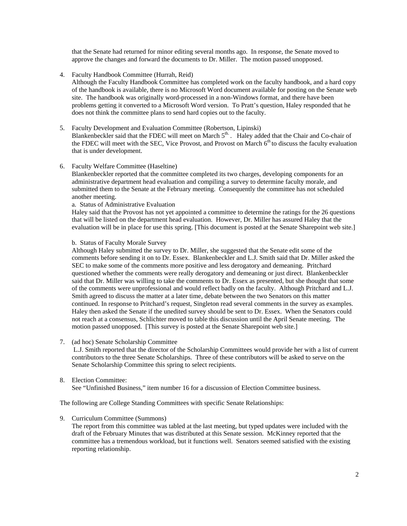that the Senate had returned for minor editing several months ago. In response, the Senate moved to approve the changes and forward the documents to Dr. Miller. The motion passed unopposed.

4. Faculty Handbook Committee (Hurrah, Reid)

Although the Faculty Handbook Committee has completed work on the faculty handbook, and a hard copy of the handbook is available, there is no Microsoft Word document available for posting on the Senate web site. The handbook was originally word-processed in a non-Windows format, and there have been problems getting it converted to a Microsoft Word version. To Pratt's question, Haley responded that he does not think the committee plans to send hard copies out to the faculty.

- 5. Faculty Development and Evaluation Committee (Robertson, Lipinski) Blankenbeckler said that the FDEC will meet on March 5<sup>th</sup>. Haley added that the Chair and Co-chair of the FDEC will meet with the SEC, Vice Provost, and Provost on March  $6<sup>th</sup>$  to discuss the faculty evaluation that is under development.
- 6. Faculty Welfare Committee (Haseltine)

Blankenbeckler reported that the committee completed its two charges, developing components for an administrative department head evaluation and compiling a survey to determine faculty morale, and submitted them to the Senate at the February meeting. Consequently the committee has not scheduled another meeting.

a. Status of Administrative Evaluation

Haley said that the Provost has not yet appointed a committee to determine the ratings for the 26 questions that will be listed on the department head evaluation. However, Dr. Miller has assured Haley that the evaluation will be in place for use this spring. [This document is posted at the Senate Sharepoint web site.]

### b. Status of Faculty Morale Survey

Although Haley submitted the survey to Dr. Miller, she suggested that the Senate edit some of the comments before sending it on to Dr. Essex. Blankenbeckler and L.J. Smith said that Dr. Miller asked the SEC to make some of the comments more positive and less derogatory and demeaning. Pritchard questioned whether the comments were really derogatory and demeaning or just direct. Blankenbeckler said that Dr. Miller was willing to take the comments to Dr. Essex as presented, but she thought that some of the comments were unprofessional and would reflect badly on the faculty. Although Pritchard and L.J. Smith agreed to discuss the matter at a later time, debate between the two Senators on this matter continued. In response to Pritchard's request, Singleton read several comments in the survey as examples. Haley then asked the Senate if the unedited survey should be sent to Dr. Essex. When the Senators could not reach at a consensus, Schlichter moved to table this discussion until the April Senate meeting. The motion passed unopposed. [This survey is posted at the Senate Sharepoint web site.]

7. (ad hoc) Senate Scholarship Committee

 L.J. Smith reported that the director of the Scholarship Committees would provide her with a list of current contributors to the three Senate Scholarships. Three of these contributors will be asked to serve on the Senate Scholarship Committee this spring to select recipients.

### 8. Election Committee:

See "Unfinished Business," item number 16 for a discussion of Election Committee business.

The following are College Standing Committees with specific Senate Relationships:

9. Curriculum Committee (Summons)

The report from this committee was tabled at the last meeting, but typed updates were included with the draft of the February Minutes that was distributed at this Senate session. McKinney reported that the committee has a tremendous workload, but it functions well. Senators seemed satisfied with the existing reporting relationship.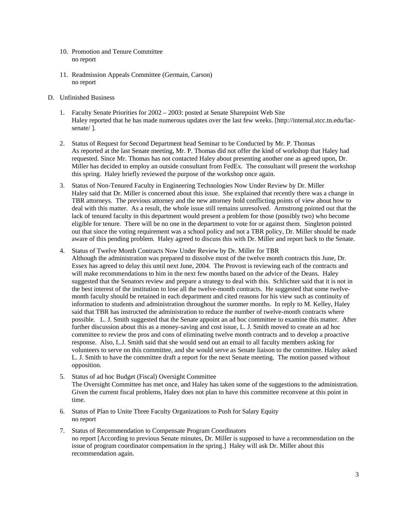- 10. Promotion and Tenure Committee no report
- 11. Readmission Appeals Committee (Germain, Carson) no report
- D. Unfinished Business
	- 1. Faculty Senate Priorities for 2002 2003: posted at Senate Sharepoint Web Site Haley reported that he has made numerous updates over the last few weeks. [http://internal.stcc.tn.edu/facsenate/ ].
	- 2. Status of Request for Second Department head Seminar to be Conducted by Mr. P. Thomas As reported at the last Senate meeting, Mr. P. Thomas did not offer the kind of workshop that Haley had requested. Since Mr. Thomas has not contacted Haley about presenting another one as agreed upon, Dr. Miller has decided to employ an outside consultant from FedEx. The consultant will present the workshop this spring. Haley briefly reviewed the purpose of the workshop once again.
	- 3. Status of Non-Tenured Faculty in Engineering Technologies Now Under Review by Dr. Miller Haley said that Dr. Miller is concerned about this issue. She explained that recently there was a change in TBR attorneys. The previous attorney and the new attorney hold conflicting points of view about how to deal with this matter. As a result, the whole issue still remains unresolved. Armstrong pointed out that the lack of tenured faculty in this department would present a problem for those (possibly two) who become eligible for tenure. There will be no one in the department to vote for or against them. Singleton pointed out that since the voting requirement was a school policy and not a TBR policy, Dr. Miller should be made aware of this pending problem. Haley agreed to discuss this with Dr. Miller and report back to the Senate.
	- 4. Status of Twelve Month Contracts Now Under Review by Dr. Miller for TBR Although the administration was prepared to dissolve most of the twelve month contracts this June, Dr. Essex has agreed to delay this until next June, 2004. The Provost is reviewing each of the contracts and will make recommendations to him in the next few months based on the advice of the Deans. Haley suggested that the Senators review and prepare a strategy to deal with this. Schlichter said that it is not in the best interest of the institution to lose all the twelve-month contracts. He suggested that some twelvemonth faculty should be retained in each department and cited reasons for his view such as continuity of information to students and administration throughout the summer months. In reply to M. Kelley, Haley said that TBR has instructed the administration to reduce the number of twelve-month contracts where possible. L. J. Smith suggested that the Senate appoint an ad hoc committee to examine this matter. After further discussion about this as a money-saving and cost issue, L. J. Smith moved to create an ad hoc committee to review the pros and cons of eliminating twelve month contracts and to develop a proactive response. Also, L.J. Smith said that she would send out an email to all faculty members asking for volunteers to serve on this committee, and she would serve as Senate liaison to the committee. Haley asked L. J. Smith to have the committee draft a report for the next Senate meeting. The motion passed without opposition.
	- 5. Status of ad hoc Budget (Fiscal) Oversight Committee The Oversight Committee has met once, and Haley has taken some of the suggestions to the administration. Given the current fiscal problems, Haley does not plan to have this committee reconvene at this point in time.
	- 6. Status of Plan to Unite Three Faculty Organizations to Push for Salary Equity no report
	- 7. Status of Recommendation to Compensate Program Coordinators no report [According to previous Senate minutes, Dr. Miller is supposed to have a recommendation on the issue of program coordinator compensation in the spring.] Haley will ask Dr. Miller about this recommendation again.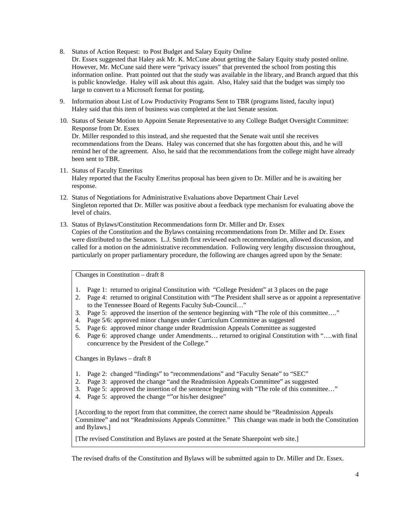- 8. Status of Action Request: to Post Budget and Salary Equity Online Dr. Essex suggested that Haley ask Mr. K. McCune about getting the Salary Equity study posted online. However, Mr. McCune said there were "privacy issues" that prevented the school from posting this information online. Pratt pointed out that the study was available in the library, and Branch argued that this is public knowledge. Haley will ask about this again. Also, Haley said that the budget was simply too large to convert to a Microsoft format for posting.
- 9. Information about List of Low Productivity Programs Sent to TBR (programs listed, faculty input) Haley said that this item of business was completed at the last Senate session.
- 10. Status of Senate Motion to Appoint Senate Representative to any College Budget Oversight Committee: Response from Dr. Essex Dr. Miller responded to this instead, and she requested that the Senate wait until she receives recommendations from the Deans. Haley was concerned that she has forgotten about this, and he will remind her of the agreement. Also, he said that the recommendations from the college might have already been sent to TBR.
- 11. Status of Faculty Emeritus Haley reported that the Faculty Emeritus proposal has been given to Dr. Miller and he is awaiting her response.
- 12. Status of Negotiations for Administrative Evaluations above Department Chair Level Singleton reported that Dr. Miller was positive about a feedback type mechanism for evaluating above the level of chairs.
- 13. Status of Bylaws/Constitution Recommendations form Dr. Miller and Dr. Essex Copies of the Constitution and the Bylaws containing recommendations from Dr. Miller and Dr. Essex were distributed to the Senators. L.J. Smith first reviewed each recommendation, allowed discussion, and called for a motion on the administrative recommendation. Following very lengthy discussion throughout, particularly on proper parliamentary procedure, the following are changes agreed upon by the Senate:

Changes in Constitution – draft 8

- 1. Page 1: returned to original Constitution with "College President" at 3 places on the page
- 2. Page 4: returned to original Constitution with "The President shall serve as or appoint a representative to the Tennessee Board of Regents Faculty Sub-Council…"
- 3. Page 5: approved the insertion of the sentence beginning with "The role of this committee…."
- 4. Page 5/6: approved minor changes under Curriculum Committee as suggested
- 5. Page 6: approved minor change under Readmission Appeals Committee as suggested
- 6. Page 6: approved change under Amendments… returned to original Constitution with "….with final concurrence by the President of the College."

Changes in Bylaws – draft 8

- 1. Page 2: changed "findings" to "recommendations" and "Faculty Senate" to "SEC"
- 2. Page 3: approved the change "and the Readmission Appeals Committee" as suggested
- 3. Page 5: approved the insertion of the sentence beginning with "The role of this committee…"
- 4. Page 5: approved the change ""or his/her designee"

[According to the report from that committee, the correct name should be "Readmission Appeals Committee" and not "Readmissions Appeals Committee." This change was made in both the Constitution and Bylaws.]

[The revised Constitution and Bylaws are posted at the Senate Sharepoint web site.]

The revised drafts of the Constitution and Bylaws will be submitted again to Dr. Miller and Dr. Essex.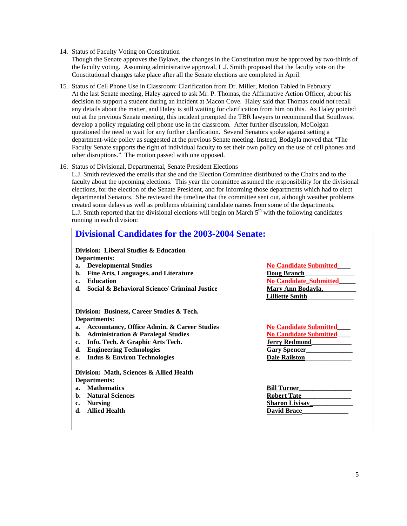#### 14. Status of Faculty Voting on Constitution

Though the Senate approves the Bylaws, the changes in the Constitution must be approved by two-thirds of the faculty voting. Assuming administrative approval, L.J. Smith proposed that the faculty vote on the Constitutional changes take place after all the Senate elections are completed in April.

- 15. Status of Cell Phone Use in Classroom: Clarification from Dr. Miller, Motion Tabled in February At the last Senate meeting, Haley agreed to ask Mr. P. Thomas, the Affirmative Action Officer, about his decision to support a student during an incident at Macon Cove. Haley said that Thomas could not recall any details about the matter, and Haley is still waiting for clarification from him on this. As Haley pointed out at the previous Senate meeting, this incident prompted the TBR lawyers to recommend that Southwest develop a policy regulating cell phone use in the classroom. After further discussion, McColgan questioned the need to wait for any further clarification. Several Senators spoke against setting a department-wide policy as suggested at the previous Senate meeting. Instead, Bodayla moved that "The Faculty Senate supports the right of individual faculty to set their own policy on the use of cell phones and other disruptions." The motion passed with one opposed.
- 16. Status of Divisional, Departmental, Senate President Elections

L.J. Smith reviewed the emails that she and the Election Committee distributed to the Chairs and to the faculty about the upcoming elections. This year the committee assumed the responsibility for the divisional elections, for the election of the Senate President, and for informing those departments which had to elect departmental Senators. She reviewed the timeline that the committee sent out, although weather problems created some delays as well as problems obtaining candidate names from some of the departments. L.J. Smith reported that the divisional elections will begin on March  $5<sup>th</sup>$  with the following candidates running in each division:

## **Divisional Candidates for the 2003-2004 Senate: Division: Liberal Studies & Education Departments: a.** Developmental Studies No Candidate Submitted **b.** Fine Arts, Languages, and Literature **Doug Branch** c. Education **No Candidate** Submitted<br> **d.** Social & Behavioral Science/ Criminal Justice **Nary Ann Bodayla**, **d.** Social & Behavioral Science/ Criminal Justice  **Lilliette Smith\_\_\_\_\_\_\_\_\_\_\_\_\_\_ Division: Business, Career Studies & Tech. Departments: a.** Accountancy, Office Admin. & Career Studies  $\frac{N\omega}{N\omega}$  Candidate Submitted<br>b. Administration & Paralegal Studies  $\frac{N\omega}{N\omega}$  Candidate Submitted **b.** Administration & Paralegal Studies **c. Info. Tech. & Graphic Arts Tech. Jerry Redmond\_\_\_\_\_\_\_\_\_\_\_\_**  d. **Engineering Technologies** Gary Spencer **e. Indus & Environ Technologies Dale Railston\_\_\_\_\_\_\_\_\_\_\_\_\_\_ Division: Math, Sciences & Allied Health Departments: a.** Mathematics **Bill Turner b.** Natural Sciences Robert Tate **c.** Nursing Sharon Livisay **d.** Allied Health **David Brace**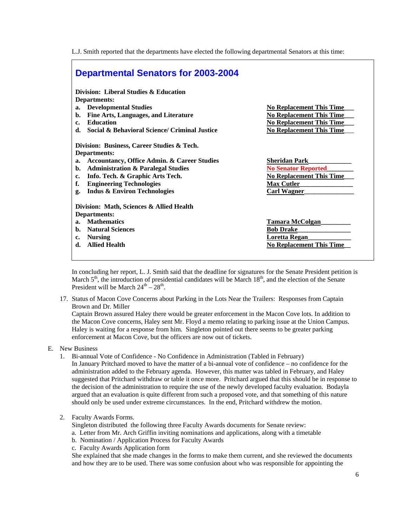L.J. Smith reported that the departments have elected the following departmental Senators at this time:

| <b>Departmental Senators for 2003-2004</b>                     |                                 |
|----------------------------------------------------------------|---------------------------------|
| Division: Liberal Studies & Education                          |                                 |
| Departments:                                                   |                                 |
| <b>Developmental Studies</b><br>$a_{\cdot}$                    | <b>No Replacement This Time</b> |
| Fine Arts, Languages, and Literature<br>b.                     | <b>No Replacement This Time</b> |
| <b>Education</b><br>$c_{\star}$                                | <b>No Replacement This Time</b> |
| <b>Social &amp; Behavioral Science/ Criminal Justice</b><br>d. | <b>No Replacement This Time</b> |
| Division: Business, Career Studies & Tech.                     |                                 |
| Departments:                                                   |                                 |
| <b>Accountancy, Office Admin. &amp; Career Studies</b><br>a.   | <b>Sheridan Park</b>            |
| <b>Administration &amp; Paralegal Studies</b><br>b.            | <b>No Senator Reported</b>      |
| Info. Tech. & Graphic Arts Tech.<br>c.                         | <b>No Replacement This Time</b> |
| f.<br><b>Engineering Technologies</b>                          | <b>Max Cutler</b>               |
| <b>Indus &amp; Environ Technologies</b><br>g.                  | <b>Carl Wagner</b>              |
| Division: Math, Sciences & Allied Health                       |                                 |
| Departments:                                                   |                                 |
| <b>Mathematics</b><br>a <sub>z</sub>                           | <b>Tamara McColgan</b>          |
| <b>Natural Sciences</b><br>h.                                  | <b>Bob Drake</b>                |
| <b>Nursing</b><br>c.                                           | <b>Loretta Regan</b>            |
| <b>Allied Health</b><br>d.                                     | <b>No Replacement This Time</b> |

In concluding her report, L. J. Smith said that the deadline for signatures for the Senate President petition is March  $5<sup>th</sup>$ , the introduction of presidential candidates will be March  $18<sup>th</sup>$ , and the election of the Senate President will be March  $24^{th} - 28^{th}$ .

17. Status of Macon Cove Concerns about Parking in the Lots Near the Trailers: Responses from Captain Brown and Dr. Miller

Captain Brown assured Haley there would be greater enforcement in the Macon Cove lots. In addition to the Macon Cove concerns, Haley sent Mr. Floyd a memo relating to parking issue at the Union Campus. Haley is waiting for a response from him. Singleton pointed out there seems to be greater parking enforcement at Macon Cove, but the officers are now out of tickets.

- E. New Business
	- 1. Bi-annual Vote of Confidence No Confidence in Administration (Tabled in February) In January Pritchard moved to have the matter of a bi-annual vote of confidence – no confidence for the administration added to the February agenda. However, this matter was tabled in February, and Haley suggested that Pritchard withdraw or table it once more. Pritchard argued that this should be in response to the decision of the administration to require the use of the newly developed faculty evaluation. Bodayla argued that an evaluation is quite different from such a proposed vote, and that something of this nature should only be used under extreme circumstances. In the end, Pritchard withdrew the motion.
	- 2. Faculty Awards Forms.
		- Singleton distributed the following three Faculty Awards documents for Senate review:
		- a. Letter from Mr. Arch Griffin inviting nominations and applications, along with a timetable
		- b. Nomination / Application Process for Faculty Awards
		- c. Faculty Awards Application form

She explained that she made changes in the forms to make them current, and she reviewed the documents and how they are to be used. There was some confusion about who was responsible for appointing the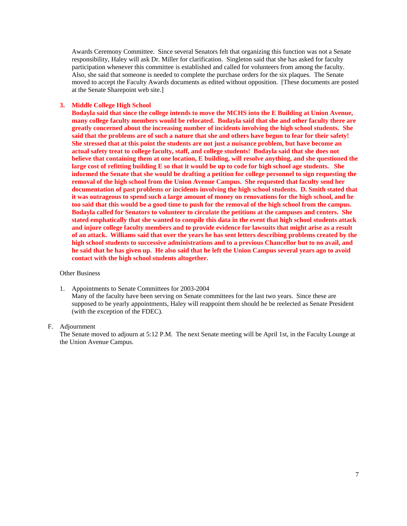Awards Ceremony Committee. Since several Senators felt that organizing this function was not a Senate responsibility, Haley will ask Dr. Miller for clarification. Singleton said that she has asked for faculty participation whenever this committee is established and called for volunteers from among the faculty. Also, she said that someone is needed to complete the purchase orders for the six plaques. The Senate moved to accept the Faculty Awards documents as edited without opposition. [These documents are posted at the Senate Sharepoint web site.]

### **3. Middle College High School**

**Bodayla said that since the college intends to move the MCHS into the E Building at Union Avenue, many college faculty members would be relocated. Bodayla said that she and other faculty there are greatly concerned about the increasing number of incidents involving the high school students. She said that the problems are of such a nature that she and others have begun to fear for their safety! She stressed that at this point the students are not just a nuisance problem, but have become an actual safety treat to college faculty, staff, and college students! Bodayla said that she does not believe that containing them at one location, E building, will resolve anything, and she questioned the large cost of refitting building E so that it would be up to code for high school age students. She informed the Senate that she would be drafting a petition for college personnel to sign requesting the removal of the high school from the Union Avenue Campus. She requested that faculty send her documentation of past problems or incidents involving the high school students. D. Smith stated that it was outrageous to spend such a large amount of money on renovations for the high school, and he too said that this would be a good time to push for the removal of the high school from the campus. Bodayla called for Senators to volunteer to circulate the petitions at the campuses and centers. She stated emphatically that she wanted to compile this data in the event that high school students attack and injure college faculty members and to provide evidence for lawsuits that might arise as a result of an attack. Williams said that over the years he has sent letters describing problems created by the high school students to successive administrations and to a previous Chancellor but to no avail, and he said that he has given up. He also said that he left the Union Campus several years ago to avoid contact with the high school students altogether.** 

#### Other Business

1. Appointments to Senate Committees for 2003-2004 Many of the faculty have been serving on Senate committees for the last two years. Since these are supposed to be yearly appointments, Haley will reappoint them should he be reelected as Senate President (with the exception of the FDEC).

#### F. Adjournment

The Senate moved to adjourn at 5:12 P.M. The next Senate meeting will be April 1st, in the Faculty Lounge at the Union Avenue Campus.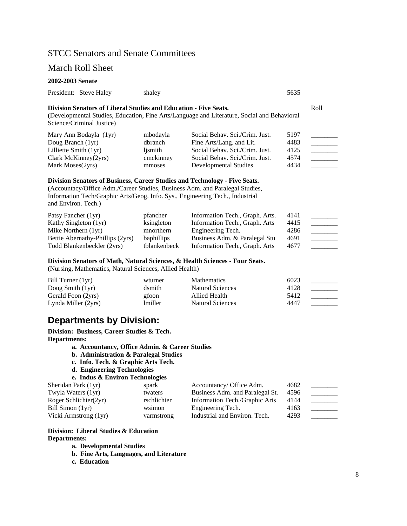## STCC Senators and Senate Committees

### March Roll Sheet

#### **2002-2003 Senate**

|  | President: Steve Haley | shaley | 5635 |
|--|------------------------|--------|------|
|--|------------------------|--------|------|

### **Division Senators of Liberal Studies and Education - Five Seats.** Roll

(Developmental Studies, Education, Fine Arts/Language and Literature, Social and Behavioral Science/Criminal Justice)

| Mary Ann Bodayla (1yr)          | mbodayla  | Social Behav. Sci./Crim. Just. | 5197 |  |
|---------------------------------|-----------|--------------------------------|------|--|
| Doug Branch (1yr)               | dbranch   | Fine Arts/Lang. and Lit.       | 4483 |  |
| Lilliette Smith $(1yr)$         | lismith   | Social Behav. Sci./Crim. Just. | 4125 |  |
| $Clark$ McKinney $(2\gamma rs)$ | cmckinney | Social Behav. Sci./Crim. Just. | 4574 |  |
| Mark Moses (2yrs)               | mmoses    | Developmental Studies          | 4434 |  |

### **Division Senators of Business, Career Studies and Technology - Five Seats.**

(Accountacy/Office Adm./Career Studies, Business Adm. and Paralegal Studies, Information Tech/Graphic Arts/Geog. Info. Sys., Engineering Tech., Industrial and Environ. Tech.)

| Patsy Fancher (1yr)              | pfancher          | Information Tech., Graph. Arts. | 4141 |  |
|----------------------------------|-------------------|---------------------------------|------|--|
| Kathy Singleton (1yr)            | ksingleton        | Information Tech., Graph. Arts  | 4415 |  |
| Mike Northern $(1yr)$            | mnorthern         | Engineering Tech.               | 4286 |  |
| Bettie Abernathy-Phillips (2yrs) | <b>baphillips</b> | Business Adm. & Paralegal Stu   | 4691 |  |
| Todd Blankenbeckler (2yrs)       | tblankenbeck      | Information Tech., Graph. Arts  | 4677 |  |

#### **Division Senators of Math, Natural Sciences, & Health Sciences - Four Seats.**

(Nursing, Mathematics, Natural Sciences, Allied Health)

| Bill Turner $(1yr)$ | wturner        | <b>Mathematics</b>      | 6023 |  |
|---------------------|----------------|-------------------------|------|--|
| Doug Smith $(1yr)$  | dsmith         | Natural Sciences        | 4128 |  |
| Gerald Foon (2yrs)  | gfoon          | Allied Health           | 5412 |  |
| Lynda Miller (2yrs) | <i>lmiller</i> | <b>Natural Sciences</b> | 4447 |  |

## **Departments by Division:**

**Division: Business, Career Studies & Tech. Departments:** 

- **a. Accountancy, Office Admin. & Career Studies**
- **b. Administration & Paralegal Studies**
- **c. Info. Tech. & Graphic Arts Tech.**
- **d. Engineering Technologies**

```
e. Indus & Environ Technologies
```

| Sheridan Park (1yr)   | spark       | Accountancy/ Office Adm.        | 4682 |  |
|-----------------------|-------------|---------------------------------|------|--|
| Twyla Waters (1yr)    | twaters     | Business Adm. and Paralegal St. | 4596 |  |
| Roger Schlichter(2yr) | rschlichter | Information Tech./Graphic Arts  | 4144 |  |
| Bill Simon (1yr)      | wsimon      | Engineering Tech.               | 4163 |  |
| Vicki Armstrong (1yr) | varmstrong  | Industrial and Environ. Tech.   | 4293 |  |

### **Division: Liberal Studies & Education Departments:**

**a. Developmental Studies** 

- **b. Fine Arts, Languages, and Literature**
- **c. Education**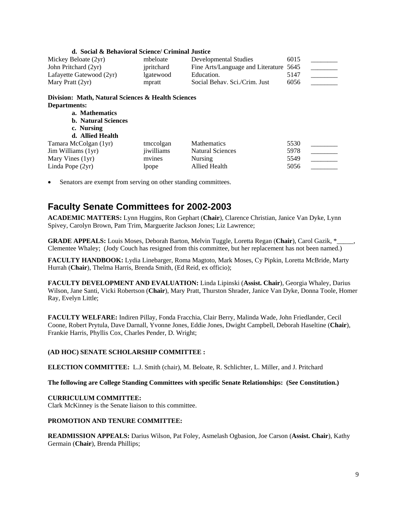| d. Social & Behavioral Science/ Criminal Justice                   |            |                                   |      |  |
|--------------------------------------------------------------------|------------|-----------------------------------|------|--|
| Mickey Beloate (2yr)                                               | mbeloate   | Developmental Studies             | 6015 |  |
| John Pritchard (2yr)                                               | jpritchard | Fine Arts/Language and Literature | 5645 |  |
| Lafayette Gatewood (2yr)                                           | lgatewood  | Education.                        | 5147 |  |
| Mary Pratt (2yr)                                                   | mpratt     | Social Behav. Sci./Crim. Just     | 6056 |  |
| Division: Math, Natural Sciences & Health Sciences<br>Departments: |            |                                   |      |  |
| a. Mathematics                                                     |            |                                   |      |  |
| <b>b.</b> Natural Sciences                                         |            |                                   |      |  |
| c. Nursing                                                         |            |                                   |      |  |
| d. Allied Health                                                   |            |                                   |      |  |
| Tamara McColgan (1yr)                                              | tmccolgan  | <b>Mathematics</b>                | 5530 |  |
| Jim Williams (1yr)                                                 | jiwilliams | <b>Natural Sciences</b>           | 5978 |  |
| Mary Vines (1yr)                                                   | mvines     | Nursing                           | 5549 |  |
| Linda Pope (2yr)                                                   | lpope      | Allied Health                     | 5056 |  |

Senators are exempt from serving on other standing committees.

# **Faculty Senate Committees for 2002-2003**

**ACADEMIC MATTERS:** Lynn Huggins, Ron Gephart (**Chair**), Clarence Christian, Janice Van Dyke, Lynn Spivey, Carolyn Brown, Pam Trim, Marguerite Jackson Jones; Liz Lawrence;

**GRADE APPEALS:** Louis Moses, Deborah Barton, Melvin Tuggle, Loretta Regan (**Chair**), Carol Gazik, \*\_\_\_\_\_, Clementee Whaley; (Jody Couch has resigned from this committee, but her replacement has not been named.)

**FACULTY HANDBOOK:** Lydia Linebarger, Roma Magtoto, Mark Moses, Cy Pipkin, Loretta McBride, Marty Hurrah (**Chair**), Thelma Harris, Brenda Smith, (Ed Reid, ex officio);

**FACULTY DEVELOPMENT AND EVALUATION:** Linda Lipinski (**Assist. Chair**), Georgia Whaley, Darius Wilson, Jane Santi, Vicki Robertson (**Chair**), Mary Pratt, Thurston Shrader, Janice Van Dyke, Donna Toole, Homer Ray, Evelyn Little;

**FACULTY WELFARE:** Indiren Pillay, Fonda Fracchia, Clair Berry, Malinda Wade, John Friedlander, Cecil Coone, Robert Prytula, Dave Darnall, Yvonne Jones, Eddie Jones, Dwight Campbell, Deborah Haseltine (**Chair**), Frankie Harris, Phyllis Cox, Charles Pender, D. Wright;

### **(AD HOC) SENATE SCHOLARSHIP COMMITTEE :**

**ELECTION COMMITTEE:** L.J. Smith (chair), M. Beloate, R. Schlichter, L. Miller, and J. Pritchard

### **The following are College Standing Committees with specific Senate Relationships: (See Constitution.)**

### **CURRICULUM COMMITTEE:**

Clark McKinney is the Senate liaison to this committee.

### **PROMOTION AND TENURE COMMITTEE:**

**READMISSION APPEALS:** Darius Wilson, Pat Foley, Asmelash Ogbasion, Joe Carson (**Assist. Chair**), Kathy Germain (**Chair**), Brenda Phillips;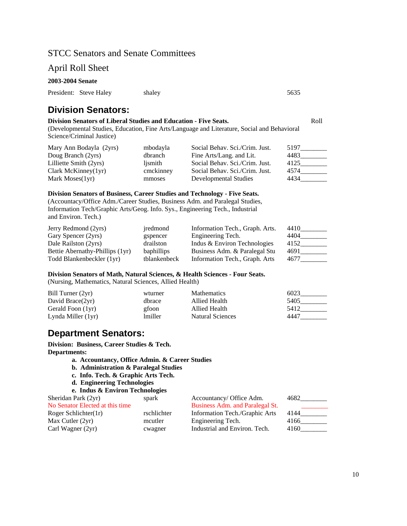## STCC Senators and Senate Committees

## April Roll Sheet

### **2003-2004 Senate**

| President: Steve Haley | shaley | 5635 |
|------------------------|--------|------|
|                        |        |      |

# **Division Senators:**

### **Division Senators of Liberal Studies and Education - Five Seats.** The Seats of Roll

(Developmental Studies, Education, Fine Arts/Language and Literature, Social and Behavioral Science/Criminal Justice)

| Mary Ann Bodayla (2yrs) | mbodayla  | Social Behav. Sci./Crim. Just. | 5197 |
|-------------------------|-----------|--------------------------------|------|
| Doug Branch (2yrs)      | dbranch   | Fine Arts/Lang. and Lit.       | 4483 |
| Lilliette Smith (2yrs)  | lismith   | Social Behav. Sci./Crim. Just. | 4125 |
| Clark McKinney $(1yr)$  | cmckinney | Social Behav. Sci./Crim. Just. | 4574 |
| Mark Moses $(1yr)$      | mmoses    | Developmental Studies          | 4434 |

### **Division Senators of Business, Career Studies and Technology - Five Seats.**

(Accountacy/Office Adm./Career Studies, Business Adm. and Paralegal Studies, Information Tech/Graphic Arts/Geog. Info. Sys., Engineering Tech., Industrial and Environ. Tech.)

| Jerry Redmond (2yrs)            | jredmond          | Information Tech., Graph. Arts. | 4410 |
|---------------------------------|-------------------|---------------------------------|------|
| Gary Spencer (2yrs)             | gspencer          | Engineering Tech.               | 4404 |
| Dale Railston (2yrs)            | drailston         | Indus & Environ Technologies    | 4152 |
| Bettie Abernathy-Phillips (1yr) | <b>baphillips</b> | Business Adm. & Paralegal Stu   | 4691 |
| Todd Blankenbeckler (1yr)       | tblankenbeck      | Information Tech., Graph. Arts  | 4677 |

### **Division Senators of Math, Natural Sciences, & Health Sciences - Four Seats.**  (Nursing, Mathematics, Natural Sciences, Allied Health)

| Bill Turner (2yr)   | wturner | <b>Mathematics</b>      | 6023 |
|---------------------|---------|-------------------------|------|
| David Brace $(2yr)$ | dbrace  | Allied Health           | 5405 |
| Gerald Foon (1yr)   | gfoon   | Allied Health           | 5412 |
| Lynda Miller (1yr)  | lmiller | <b>Natural Sciences</b> | 4447 |

## **Department Senators:**

**Division: Business, Career Studies & Tech. Departments:** 

- **a. Accountancy, Office Admin. & Career Studies**
- **b. Administration & Paralegal Studies**
- **c. Info. Tech. & Graphic Arts Tech.**
- **d. Engineering Technologies**

| e. Indus & Environ Technologies |             |                                 |      |
|---------------------------------|-------------|---------------------------------|------|
| Sheridan Park (2yr)             | spark       | Accountancy/ Office Adm.        | 4682 |
| No Senator Elected at this time |             | Business Adm. and Paralegal St. |      |
| Roger Schlichter(1r)            | rschlichter | Information Tech./Graphic Arts  | 4144 |
| Max Cutler $(2yr)$              | mcutler     | Engineering Tech.               | 4166 |
| Carl Wagner (2yr)               | cwagner     | Industrial and Environ. Tech.   | 4160 |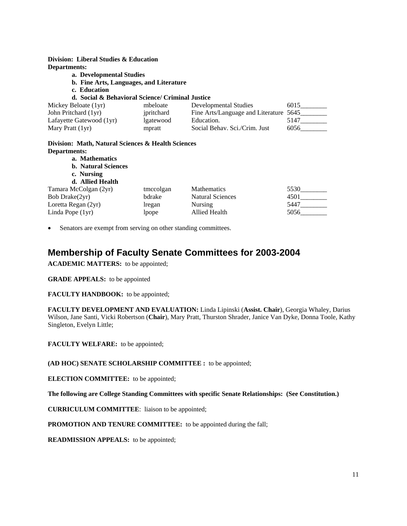**Division: Liberal Studies & Education Departments:** 

- **a. Developmental Studies** 
	- **b. Fine Arts, Languages, and Literature**
	- **c. Education**

### **d. Social & Behavioral Science/ Criminal Justice**

| Mickey Beloate (1yr)     | mbeloate   | Developmental Studies                  | 6015 |
|--------------------------|------------|----------------------------------------|------|
| John Pritchard (1yr)     | ipritchard | Fine Arts/Language and Literature 5645 |      |
| Lafayette Gatewood (1yr) | lgatewood  | Education.                             | 5147 |
| Mary Pratt (1yr)         | mpratt     | Social Behav. Sci./Crim. Just          | 6056 |

### **Division: Math, Natural Sciences & Health Sciences Departments:**

| a. Mathematics             |           |                         |      |
|----------------------------|-----------|-------------------------|------|
| <b>b.</b> Natural Sciences |           |                         |      |
| c. Nursing                 |           |                         |      |
| d. Allied Health           |           |                         |      |
| Tamara McColgan (2yr)      | tmccolgan | <b>Mathematics</b>      | 5530 |
| Bob Drake(2yr)             | bdrake    | <b>Natural Sciences</b> | 4501 |
| Loretta Regan (2yr)        | lregan    | Nursing                 | 5447 |
| Linda Pope (1yr)           | lpope     | Allied Health           | 5056 |

Senators are exempt from serving on other standing committees.

## **Membership of Faculty Senate Committees for 2003-2004**

**ACADEMIC MATTERS:** to be appointed;

**GRADE APPEALS:** to be appointed

**FACULTY HANDBOOK:** to be appointed;

**FACULTY DEVELOPMENT AND EVALUATION:** Linda Lipinski (**Assist. Chair**), Georgia Whaley, Darius Wilson, Jane Santi, Vicki Robertson (**Chair**), Mary Pratt, Thurston Shrader, Janice Van Dyke, Donna Toole, Kathy Singleton, Evelyn Little;

**FACULTY WELFARE:** to be appointed;

**(AD HOC) SENATE SCHOLARSHIP COMMITTEE :** to be appointed;

**ELECTION COMMITTEE:** to be appointed;

**The following are College Standing Committees with specific Senate Relationships: (See Constitution.)** 

**CURRICULUM COMMITTEE**: liaison to be appointed;

**PROMOTION AND TENURE COMMITTEE:** to be appointed during the fall;

**READMISSION APPEALS:** to be appointed;